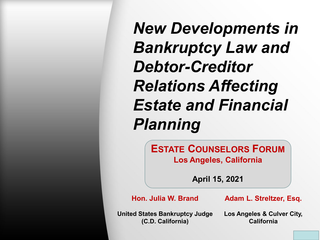*New Developments in Bankruptcy Law and Debtor-Creditor Relations Affecting Estate and Financial Planning*

> **ESTATE COUNSELORS FORUM Los Angeles, California**

> > **April 15, 2021**

**Hon. Julia W. Brand**

**Adam L. Streltzer, Esq.**

**United States Bankruptcy Judge (C.D. California)**

**Los Angeles & Culver City, California**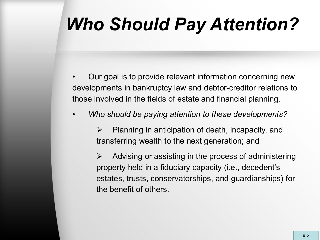### *Who Should Pay Attention?*

- Our goal is to provide relevant information concerning new developments in bankruptcy law and debtor-creditor relations to those involved in the fields of estate and financial planning.
- *Who should be paying attention to these developments?*
	- $\triangleright$  Planning in anticipation of death, incapacity, and transferring wealth to the next generation; and

 $\triangleright$  Advising or assisting in the process of administering property held in a fiduciary capacity (i.e., decedent's estates, trusts, conservatorships, and guardianships) for the benefit of others.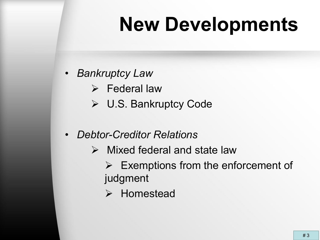# **New Developments**

- *Bankruptcy Law*
	- $\triangleright$  Federal law
	- U.S. Bankruptcy Code
- *Debtor-Creditor Relations*
	- $\triangleright$  Mixed federal and state law
		- $\triangleright$  Exemptions from the enforcement of judgment
		- > Homestead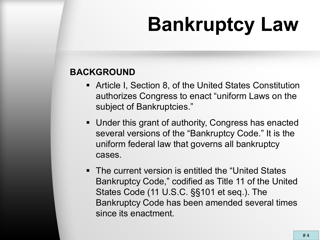### **BACKGROUND**

- Article I, Section 8, of the United States Constitution authorizes Congress to enact "uniform Laws on the subject of Bankruptcies."
- Under this grant of authority, Congress has enacted several versions of the "Bankruptcy Code." It is the uniform federal law that governs all bankruptcy cases.
- The current version is entitled the "United States" Bankruptcy Code," codified as Title 11 of the United States Code (11 U.S.C. §§101 et seq.). The Bankruptcy Code has been amended several times since its enactment.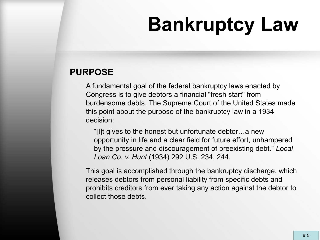### **PURPOSE**

A fundamental goal of the federal bankruptcy laws enacted by Congress is to give debtors a financial "fresh start" from burdensome debts. The Supreme Court of the United States made this point about the purpose of the bankruptcy law in a 1934 decision:

"[I]t gives to the honest but unfortunate debtor…a new opportunity in life and a clear field for future effort, unhampered by the pressure and discouragement of preexisting debt." *Local Loan Co. v. Hunt* (1934) 292 U.S. 234, 244.

This goal is accomplished through the bankruptcy discharge, which releases debtors from personal liability from specific debts and prohibits creditors from ever taking any action against the debtor to collect those debts.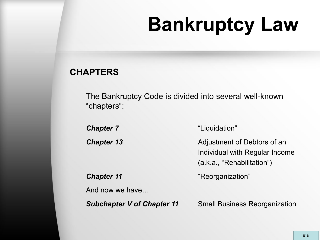### **CHAPTERS**

The Bankruptcy Code is divided into several well-known "chapters":

**Chapter 7** "Liquidation" **Chapter 13** Adjustment of Debtors of an Individual with Regular Income (a.k.a., "Rehabilitation")

**Chapter 11** "Reorganization"

And now we have…

*Subchapter V of Chapter 11* Small Business Reorganization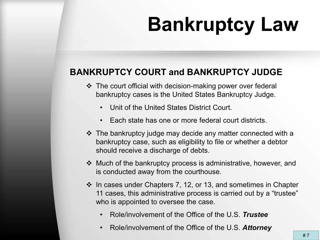### **BANKRUPTCY COURT and BANKRUPTCY JUDGE**

- $\triangle$  The court official with decision-making power over federal bankruptcy cases is the United States Bankruptcy Judge.
	- Unit of the United States District Court.
	- Each state has one or more federal court districts.
- $\cdot$  The bankruptcy judge may decide any matter connected with a bankruptcy case, such as eligibility to file or whether a debtor should receive a discharge of debts.
- Much of the bankruptcy process is administrative, however, and is conducted away from the courthouse.
- $\cdot$  In cases under Chapters 7, 12, or 13, and sometimes in Chapter 11 cases, this administrative process is carried out by a "trustee" who is appointed to oversee the case.
	- Role/involvement of the Office of the U.S. *Trustee*
	- Role/involvement of the Office of the U.S. *Attorney*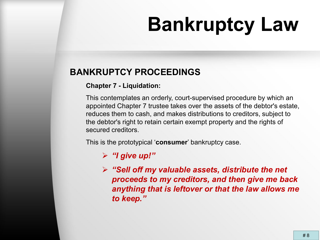### **BANKRUPTCY PROCEEDINGS**

#### **Chapter 7 - Liquidation:**

This contemplates an orderly, court-supervised procedure by which an appointed Chapter 7 trustee takes over the assets of the debtor's estate, reduces them to cash, and makes distributions to creditors, subject to the debtor's right to retain certain exempt property and the rights of secured creditors.

This is the prototypical '**consumer**' bankruptcy case.

#### *"I give up!"*

 *"Sell off my valuable assets, distribute the net proceeds to my creditors, and then give me back anything that is leftover or that the law allows me to keep."*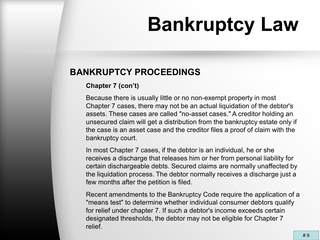### **BANKRUPTCY PROCEEDINGS**

#### **Chapter 7 (con't)**

Because there is usually little or no non-exempt property in most Chapter 7 cases, there may not be an actual liquidation of the debtor's assets. These cases are called "no-asset cases." A creditor holding an unsecured claim will get a distribution from the bankruptcy estate only if the case is an asset case and the creditor files a proof of claim with the bankruptcy court.

In most Chapter 7 cases, if the debtor is an individual, he or she receives a discharge that releases him or her from personal liability for certain dischargeable debts. Secured claims are normally unaffected by the liquidation process. The debtor normally receives a discharge just a few months after the petition is filed.

Recent amendments to the Bankruptcy Code require the application of a "means test" to determine whether individual consumer debtors qualify for relief under chapter 7. If such a debtor's income exceeds certain designated thresholds, the debtor may not be eligible for Chapter 7 relief.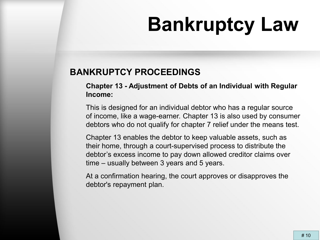### **BANKRUPTCY PROCEEDINGS**

**Chapter 13 - Adjustment of Debts of an Individual with Regular Income:**

This is designed for an individual debtor who has a regular source of income, like a wage-earner. Chapter 13 is also used by consumer debtors who do not qualify for chapter 7 relief under the means test.

Chapter 13 enables the debtor to keep valuable assets, such as their home, through a court-supervised process to distribute the debtor's excess income to pay down allowed creditor claims over time – usually between 3 years and 5 years.

At a confirmation hearing, the court approves or disapproves the debtor's repayment plan.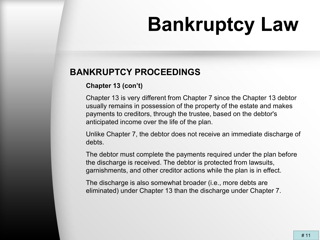### **BANKRUPTCY PROCEEDINGS**

#### **Chapter 13 (con't)**

Chapter 13 is very different from Chapter 7 since the Chapter 13 debtor usually remains in possession of the property of the estate and makes payments to creditors, through the trustee, based on the debtor's anticipated income over the life of the plan.

Unlike Chapter 7, the debtor does not receive an immediate discharge of debts.

The debtor must complete the payments required under the plan before the discharge is received. The debtor is protected from lawsuits, garnishments, and other creditor actions while the plan is in effect.

The discharge is also somewhat broader (i.e., more debts are eliminated) under Chapter 13 than the discharge under Chapter 7.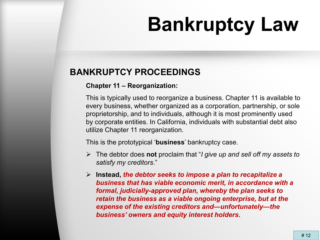### **BANKRUPTCY PROCEEDINGS**

#### **Chapter 11 – Reorganization:**

This is typically used to reorganize a business. Chapter 11 is available to every business, whether organized as a corporation, partnership, or sole proprietorship, and to individuals, although it is most prominently used by corporate entities. In California, individuals with substantial debt also utilize Chapter 11 reorganization.

This is the prototypical '**business**' bankruptcy case.

- The debtor does **not** proclaim that "*I give up and sell off my assets to satisfy my creditors*."
- **Instead,** *the debtor seeks to impose a plan to recapitalize a business that has viable economic merit, in accordance with a formal, judicially-approved plan, whereby the plan seeks to retain the business as a viable ongoing enterprise, but at the expense of the existing creditors and—unfortunately—the business' owners and equity interest holders***.**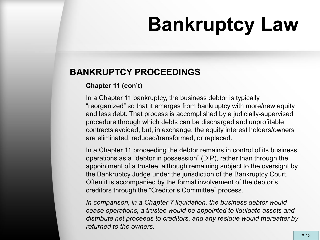### **BANKRUPTCY PROCEEDINGS**

#### **Chapter 11 (con't)**

In a Chapter 11 bankruptcy, the business debtor is typically "reorganized" so that it emerges from bankruptcy with more/new equity and less debt. That process is accomplished by a judicially-supervised procedure through which debts can be discharged and unprofitable contracts avoided, but, in exchange, the equity interest holders/owners are eliminated, reduced/transformed, or replaced.

In a Chapter 11 proceeding the debtor remains in control of its business operations as a "debtor in possession" (DIP), rather than through the appointment of a trustee, although remaining subject to the oversight by the Bankruptcy Judge under the jurisdiction of the Bankruptcy Court. Often it is accompanied by the formal involvement of the debtor's creditors through the "Creditor's Committee" process.

*In comparison, in a Chapter 7 liquidation, the business debtor would cease operations, a trustee would be appointed to liquidate assets and distribute net proceeds to creditors, and any residue would thereafter by returned to the owners.*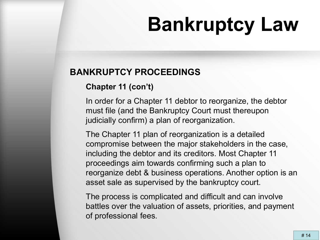### **BANKRUPTCY PROCEEDINGS**

### **Chapter 11 (con't)**

In order for a Chapter 11 debtor to reorganize, the debtor must file (and the Bankruptcy Court must thereupon judicially confirm) a plan of reorganization.

The Chapter 11 plan of reorganization is a detailed compromise between the major stakeholders in the case, including the debtor and its creditors. Most Chapter 11 proceedings aim towards confirming such a plan to reorganize debt & business operations. Another option is an asset sale as supervised by the bankruptcy court.

The process is complicated and difficult and can involve battles over the valuation of assets, priorities, and payment of professional fees.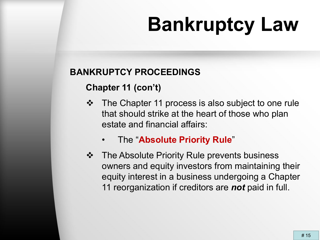### **BANKRUPTCY PROCEEDINGS**

### **Chapter 11 (con't)**

- The Chapter 11 process is also subject to one rule that should strike at the heart of those who plan estate and financial affairs:
	- The "**Absolute Priority Rule**"
- **❖** The Absolute Priority Rule prevents business owners and equity investors from maintaining their equity interest in a business undergoing a Chapter 11 reorganization if creditors are *not* paid in full.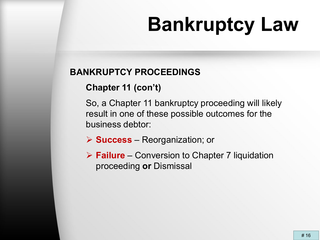### **BANKRUPTCY PROCEEDINGS**

### **Chapter 11 (con't)**

So, a Chapter 11 bankruptcy proceeding will likely result in one of these possible outcomes for the business debtor:

**Success** – Reorganization; or

 **Failure** – Conversion to Chapter 7 liquidation proceeding **or** Dismissal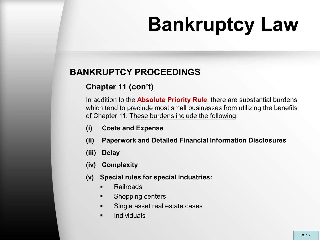### **BANKRUPTCY PROCEEDINGS**

### **Chapter 11 (con't)**

In addition to the **Absolute Priority Rule**, there are substantial burdens which tend to preclude most small businesses from utilizing the benefits of Chapter 11. These burdens include the following:

- **(i) Costs and Expense**
- **(ii) Paperwork and Detailed Financial Information Disclosures**
- **(iii) Delay**
- **(iv) Complexity**
- **(v) Special rules for special industries:**
	- **Railroads**
	- **Shopping centers**
	- Single asset real estate cases
	- **Individuals**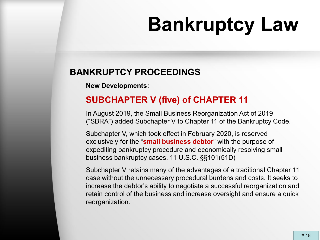### **BANKRUPTCY PROCEEDINGS**

**New Developments:**

### **SUBCHAPTER V (five) of CHAPTER 11**

In August 2019, the Small Business Reorganization Act of 2019 ("SBRA") added Subchapter V to Chapter 11 of the Bankruptcy Code.

Subchapter V, which took effect in February 2020, is reserved exclusively for the "**small business debtor**" with the purpose of expediting bankruptcy procedure and economically resolving small business bankruptcy cases. 11 U.S.C. §§101(51D)

Subchapter V retains many of the advantages of a traditional Chapter 11 case without the unnecessary procedural burdens and costs. It seeks to increase the debtor's ability to negotiate a successful reorganization and retain control of the business and increase oversight and ensure a quick reorganization.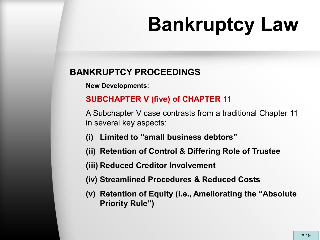### **BANKRUPTCY PROCEEDINGS**

**New Developments:**

### **SUBCHAPTER V (five) of CHAPTER 11**

A Subchapter V case contrasts from a traditional Chapter 11 in several key aspects:

- **(i) Limited to "small business debtors"**
- **(ii) Retention of Control & Differing Role of Trustee**
- **(iii) Reduced Creditor Involvement**
- **(iv) Streamlined Procedures & Reduced Costs**
- **(v) Retention of Equity (i.e., Ameliorating the "Absolute Priority Rule")**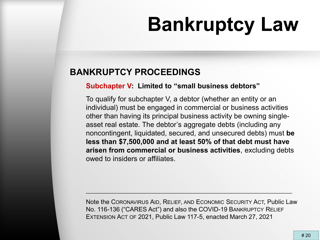### **BANKRUPTCY PROCEEDINGS**

#### **Subchapter V: Limited to "small business debtors"**

To qualify for subchapter V, a debtor (whether an entity or an individual) must be engaged in commercial or business activities other than having its principal business activity be owning singleasset real estate. The debtor's aggregate debts (including any noncontingent, liquidated, secured, and unsecured debts) must **be less than \$7,500,000 and at least 50% of that debt must have arisen from commercial or business activities**, excluding debts owed to insiders or affiliates.

Note the CORONAVIRUS AID, RELIEF, AND ECONOMIC SECURITY ACT, Public Law No. 116-136 ("CARES Act") and also the COVID-19 BANKRUPTCY RELIEF EXTENSION ACT OF 2021, Public Law 117-5, enacted March 27, 2021

\_\_\_\_\_\_\_\_\_\_\_\_\_\_\_\_\_\_\_\_\_\_\_\_\_\_\_\_\_\_\_\_\_\_\_\_\_\_\_\_\_\_\_\_\_\_\_\_\_\_\_\_\_\_\_\_\_\_\_\_\_\_\_\_\_\_\_\_\_\_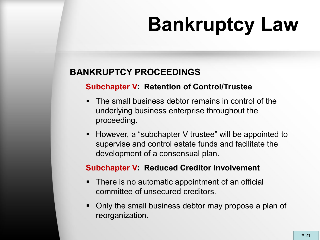### **BANKRUPTCY PROCEEDINGS**

#### **Subchapter V: Retention of Control/Trustee**

- **The small business debtor remains in control of the** underlying business enterprise throughout the proceeding.
- However, a "subchapter V trustee" will be appointed to supervise and control estate funds and facilitate the development of a consensual plan.

#### **Subchapter V: Reduced Creditor Involvement**

- **There is no automatic appointment of an official** committee of unsecured creditors.
- Only the small business debtor may propose a plan of reorganization.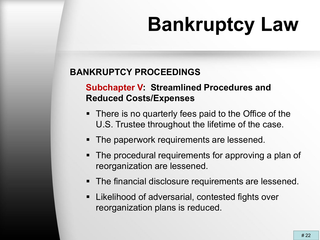### **BANKRUPTCY PROCEEDINGS**

### **Subchapter V: Streamlined Procedures and Reduced Costs/Expenses**

- There is no quarterly fees paid to the Office of the U.S. Trustee throughout the lifetime of the case.
- The paperwork requirements are lessened.
- The procedural requirements for approving a plan of reorganization are lessened.
- The financial disclosure requirements are lessened.
- **EXALE** Likelihood of adversarial, contested fights over reorganization plans is reduced.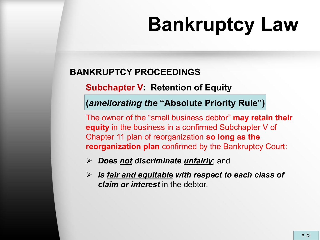### **BANKRUPTCY PROCEEDINGS**

**Subchapter V: Retention of Equity**

**(***ameliorating the* **"Absolute Priority Rule")** 

The owner of the "small business debtor" **may retain their equity** in the business in a confirmed Subchapter V of Chapter 11 plan of reorganization **so long as the reorganization plan** confirmed by the Bankruptcy Court:

- *Does not discriminate unfairly*; and
- *Is fair and equitable with respect to each class of claim or interest* in the debtor.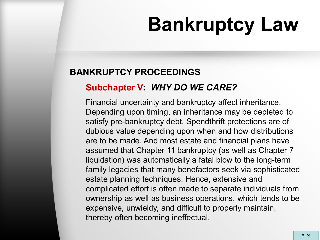### **BANKRUPTCY PROCEEDINGS**

### **Subchapter V:** *WHY DO WE CARE?*

Financial uncertainty and bankruptcy affect inheritance. Depending upon timing, an inheritance may be depleted to satisfy pre-bankruptcy debt. Spendthrift protections are of dubious value depending upon when and how distributions are to be made. And most estate and financial plans have assumed that Chapter 11 bankruptcy (as well as Chapter 7 liquidation) was automatically a fatal blow to the long-term family legacies that many benefactors seek via sophisticated estate planning techniques. Hence, extensive and complicated effort is often made to separate individuals from ownership as well as business operations, which tends to be expensive, unwieldy, and difficult to properly maintain, thereby often becoming ineffectual.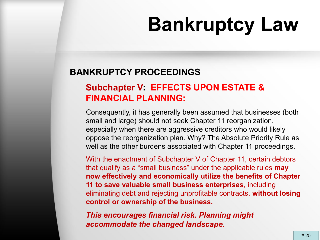### **BANKRUPTCY PROCEEDINGS**

### **Subchapter V: EFFECTS UPON ESTATE & FINANCIAL PLANNING:**

Consequently, it has generally been assumed that businesses (both small and large) should not seek Chapter 11 reorganization, especially when there are aggressive creditors who would likely oppose the reorganization plan. Why? The Absolute Priority Rule as well as the other burdens associated with Chapter 11 proceedings.

With the enactment of Subchapter V of Chapter 11, certain debtors that qualify as a "small business" under the applicable rules **may now effectively and economically utilize the benefits of Chapter 11 to save valuable small business enterprises**, including eliminating debt and rejecting unprofitable contracts, **without losing control or ownership of the business.**

*This encourages financial risk. Planning might accommodate the changed landscape.*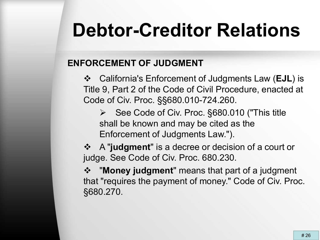### **ENFORCEMENT OF JUDGMENT**

 California's Enforcement of Judgments Law (**EJL**) is Title 9, Part 2 of the Code of Civil Procedure, enacted at Code of Civ. Proc. §§680.010-724.260.

 See Code of Civ. Proc. §680.010 ("This title shall be known and may be cited as the Enforcement of Judgments Law.").

 A "**judgment**" is a decree or decision of a court or judge. See Code of Civ. Proc. 680.230.

 "**Money judgment**" means that part of a judgment that "requires the payment of money." Code of Civ. Proc. §680.270.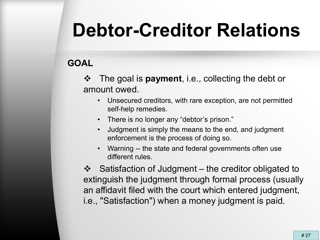### **GOAL**

- The goal is **payment**, i.e., collecting the debt or amount owed.
	- Unsecured creditors, with rare exception, are not permitted self-help remedies.
	- There is no longer any "debtor's prison."
	- Judgment is simply the means to the end, and judgment enforcement is the process of doing so.
	- Warning -- the state and federal governments often use different rules.

 $\div$  Satisfaction of Judgment – the creditor obligated to extinguish the judgment through formal process (usually an affidavit filed with the court which entered judgment, i.e., "Satisfaction") when a money judgment is paid.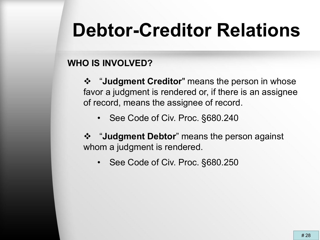### **WHO IS INVOLVED?**

 "**Judgment Creditor**" means the person in whose favor a judgment is rendered or, if there is an assignee of record, means the assignee of record.

- See Code of Civ. Proc. §680.240
- "**Judgment Debtor**" means the person against whom a judgment is rendered.
	- See Code of Civ. Proc. §680.250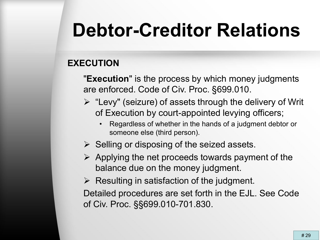### **EXECUTION**

"**Execution**" is the process by which money judgments are enforced. Code of Civ. Proc. §699.010.

- $\triangleright$  "Levy" (seizure) of assets through the delivery of Writ of Execution by court-appointed levying officers;
	- Regardless of whether in the hands of a judgment debtor or someone else (third person).
- $\triangleright$  Selling or disposing of the seized assets.
- $\triangleright$  Applying the net proceeds towards payment of the balance due on the money judgment.
- $\triangleright$  Resulting in satisfaction of the judgment.

Detailed procedures are set forth in the EJL. See Code of Civ. Proc. §§699.010-701.830.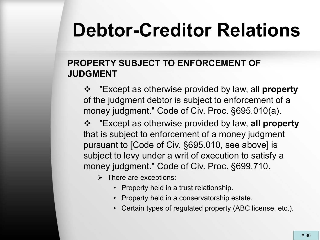### **PROPERTY SUBJECT TO ENFORCEMENT OF JUDGMENT**

 "Except as otherwise provided by law, all **property** of the judgment debtor is subject to enforcement of a money judgment." Code of Civ. Proc. §695.010(a).

 "Except as otherwise provided by law, **all property** that is subject to enforcement of a money judgment pursuant to [Code of Civ. §695.010, see above] is subject to levy under a writ of execution to satisfy a money judgment." Code of Civ. Proc. §699.710.

 $\triangleright$  There are exceptions:

- Property held in a trust relationship.
- Property held in a conservatorship estate.
- Certain types of regulated property (ABC license, etc.).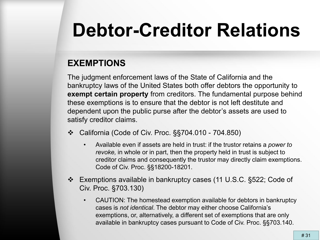### **EXEMPTIONS**

The judgment enforcement laws of the State of California and the bankruptcy laws of the United States both offer debtors the opportunity to **exempt certain property** from creditors. The fundamental purpose behind these exemptions is to ensure that the debtor is not left destitute and dependent upon the public purse after the debtor's assets are used to satisfy creditor claims.

- California (Code of Civ. Proc. §§704.010 704.850)
	- Available even if assets are held in trust: if the trustor retains a *power to revoke,* in whole or in part, then the property held in trust is subject to creditor claims and consequently the trustor may directly claim exemptions. Code of Civ. Proc. §§18200-18201.
- Exemptions available in bankruptcy cases (11 U.S.C. §522; Code of Civ. Proc. §703.130)
	- CAUTION: The homestead exemption available for debtors in bankruptcy cases is *not identical*. The debtor may either choose California's exemptions, or, alternatively, a different set of exemptions that are only available in bankruptcy cases pursuant to Code of Civ. Proc. §§703.140.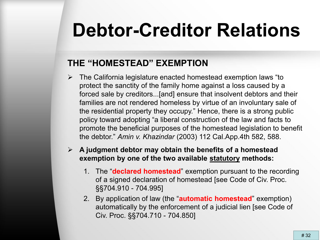### **THE "HOMESTEAD" EXEMPTION**

- The California legislature enacted homestead exemption laws "to protect the sanctity of the family home against a loss caused by a forced sale by creditors...[and] ensure that insolvent debtors and their families are not rendered homeless by virtue of an involuntary sale of the residential property they occupy." Hence, there is a strong public policy toward adopting "a liberal construction of the law and facts to promote the beneficial purposes of the homestead legislation to benefit the debtor." *Amin v. Khazindar* (2003) 112 Cal.App.4th 582, 588.
- **A judgment debtor may obtain the benefits of a homestead exemption by one of the two available statutory methods:**
	- 1. The "**declared homestead**" exemption pursuant to the recording of a signed declaration of homestead [see Code of Civ. Proc. §§704.910 - 704.995]
	- 2. By application of law (the "**automatic homestead**" exemption) automatically by the enforcement of a judicial lien [see Code of Civ. Proc. §§704.710 - 704.850]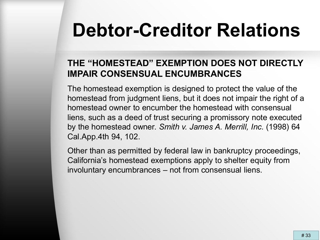### **THE "HOMESTEAD" EXEMPTION DOES NOT DIRECTLY IMPAIR CONSENSUAL ENCUMBRANCES**

The homestead exemption is designed to protect the value of the homestead from judgment liens, but it does not impair the right of a homestead owner to encumber the homestead with consensual liens, such as a deed of trust securing a promissory note executed by the homestead owner. *Smith v. James A. Merrill, Inc.* (1998) 64 Cal.App.4th 94, 102.

Other than as permitted by federal law in bankruptcy proceedings, California's homestead exemptions apply to shelter equity from involuntary encumbrances – not from consensual liens.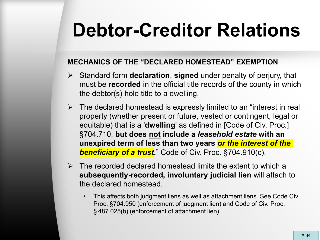#### **MECHANICS OF THE "DECLARED HOMESTEAD" EXEMPTION**

- Standard form **declaration**, **signed** under penalty of perjury, that must be **recorded** in the official title records of the county in which the debtor(s) hold title to a dwelling.
- $\triangleright$  The declared homestead is expressly limited to an "interest in real property (whether present or future, vested or contingent, legal or equitable) that is a '**dwelling**' as defined in [Code of Civ. Proc.] §704.710, **but does not include a** *leasehold estate* **with an unexpired term of less than two years** *or the interest of the*  **beneficiary of a trust.**" Code of Civ. Proc. §704.910(c).
- $\triangleright$  The recorded declared homestead limits the extent to which a **subsequently-recorded, involuntary judicial lien** will attach to the declared homestead.
	- This affects both judgment liens as well as attachment liens. See Code Civ. Proc. §704.950 (enforcement of judgment lien) and Code of Civ. Proc. § 487.025(b) (enforcement of attachment lien).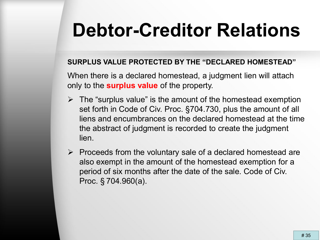#### **SURPLUS VALUE PROTECTED BY THE "DECLARED HOMESTEAD"**

When there is a declared homestead, a judgment lien will attach only to the **surplus value** of the property.

- $\triangleright$  The "surplus value" is the amount of the homestead exemption set forth in Code of Civ. Proc. §704.730, plus the amount of all liens and encumbrances on the declared homestead at the time the abstract of judgment is recorded to create the judgment lien.
- $\triangleright$  Proceeds from the voluntary sale of a declared homestead are also exempt in the amount of the homestead exemption for a period of six months after the date of the sale. Code of Civ. Proc. § 704.960(a).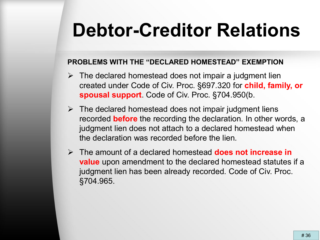#### **PROBLEMS WITH THE "DECLARED HOMESTEAD" EXEMPTION**

- $\triangleright$  The declared homestead does not impair a judgment lien created under Code of Civ. Proc. §697.320 for **child, family, or spousal support**. Code of Civ. Proc. §704.950(b.
- $\triangleright$  The declared homestead does not impair judgment liens recorded **before** the recording the declaration. In other words, a judgment lien does not attach to a declared homestead when the declaration was recorded before the lien.
- The amount of a declared homestead **does not increase in value** upon amendment to the declared homestead statutes if a judgment lien has been already recorded. Code of Civ. Proc. §704.965.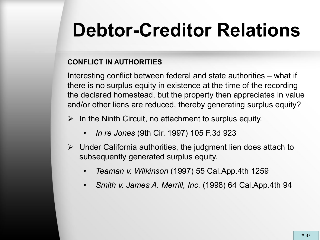#### **CONFLICT IN AUTHORITIES**

Interesting conflict between federal and state authorities – what if there is no surplus equity in existence at the time of the recording the declared homestead, but the property then appreciates in value and/or other liens are reduced, thereby generating surplus equity?

- $\triangleright$  In the Ninth Circuit, no attachment to surplus equity.
	- *In re Jones* (9th Cir. 1997) 105 F.3d 923
- $\triangleright$  Under California authorities, the judgment lien does attach to subsequently generated surplus equity.
	- *Teaman v. Wilkinson* (1997) 55 Cal.App.4th 1259
	- *Smith v. James A. Merrill, Inc.* (1998) 64 Cal.App.4th 94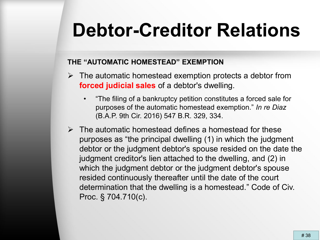#### **THE "AUTOMATIC HOMESTEAD" EXEMPTION**

- $\triangleright$  The automatic homestead exemption protects a debtor from **forced judicial sales** of a debtor's dwelling.
	- "The filing of a bankruptcy petition constitutes a forced sale for purposes of the automatic homestead exemption." *In re Diaz*  (B.A.P. 9th Cir. 2016) 547 B.R. 329, 334.
- $\triangleright$  The automatic homestead defines a homestead for these purposes as "the principal dwelling (1) in which the judgment debtor or the judgment debtor's spouse resided on the date the judgment creditor's lien attached to the dwelling, and (2) in which the judgment debtor or the judgment debtor's spouse resided continuously thereafter until the date of the court determination that the dwelling is a homestead." Code of Civ. Proc. § 704.710(c).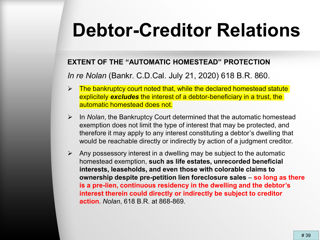#### **EXTENT OF THE "AUTOMATIC HOMESTEAD" PROTECTION**

*In re Nolan* (Bankr. C.D.Cal. July 21, 2020) 618 B.R. 860.

- $\triangleright$  The bankruptcy court noted that, while the declared homestead statute explicitely *excludes* the interest of a debtor-beneficiary in a trust, the automatic homestead does not.
- In *Nolan*, the Bankruptcy Court determined that the automatic homestead exemption does not limit the type of interest that may be protected, and therefore it may apply to any interest constituting a debtor's dwelling that would be reachable directly or indirectly by action of a judgment creditor.
- $\triangleright$  Any possessory interest in a dwelling may be subject to the automatic homestead exemption, **such as life estates, unrecorded beneficial interests, leaseholds, and even those with colorable claims to ownership despite pre-petition lien foreclosure sales** – **so long as there is a pre-lien, continuous residency in the dwelling and the debtor's interest therein could directly or indirectly be subject to creditor action**. *Nolan*, 618 B.R. at 868-869.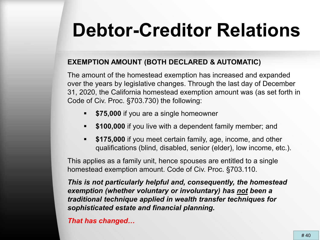#### **EXEMPTION AMOUNT (BOTH DECLARED & AUTOMATIC)**

The amount of the homestead exemption has increased and expanded over the years by legislative changes. Through the last day of December 31, 2020, the California homestead exemption amount was (as set forth in Code of Civ. Proc. §703.730) the following:

- **\$75,000** if you are a single homeowner
- **\$100,000** if you live with a dependent family member; and
- **\$175,000** if you meet certain family, age, income, and other qualifications (blind, disabled, senior (elder), low income, etc.).

This applies as a family unit, hence spouses are entitled to a single homestead exemption amount. Code of Civ. Proc. §703.110.

*This is not particularly helpful and, consequently, the homestead exemption (whether voluntary or involuntary) has not been a traditional technique applied in wealth transfer techniques for sophisticated estate and financial planning.*

*That has changed…*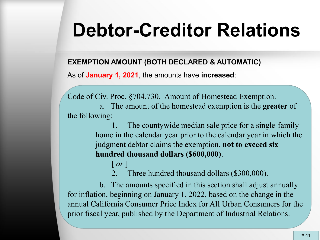#### **EXEMPTION AMOUNT (BOTH DECLARED & AUTOMATIC)**

As of **January 1, 2021**, the amounts have **increased**:

Code of Civ. Proc. §704.730. Amount of Homestead Exemption.

a. The amount of the homestead exemption is the **greater** of the following:

> 1. The countywide median sale price for a single-family home in the calendar year prior to the calendar year in which the judgment debtor claims the exemption, **not to exceed six hundred thousand dollars (\$600,000)**.

[ *or* ] Three hundred thousand dollars (\$300,000).

b. The amounts specified in this section shall adjust annually for inflation, beginning on January 1, 2022, based on the change in the annual California Consumer Price Index for All Urban Consumers for the prior fiscal year, published by the Department of Industrial Relations.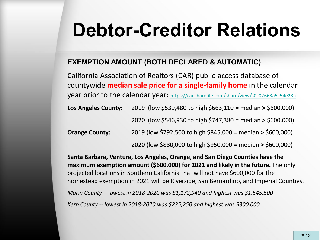#### **EXEMPTION AMOUNT (BOTH DECLARED & AUTOMATIC)**

California Association of Realtors (CAR) public-access database of countywide **median sale price for a single-family home** in the calendar year prior to the calendar year:<https://car.sharefile.com/share/view/s0c02663a5c54e23a> **Los Angeles County:** 2019 (low \$539,480 to high \$663,110 = median **>** \$600,000) 2020 (low \$546,930 to high \$747,380 = median **>** \$600,000) **Orange County:** 2019 (low \$792,500 to high \$845,000 = median **>** \$600,000) 2020 (low \$880,000 to high \$950,000 = median **>** \$600,000)

**Santa Barbara, Ventura, Los Angeles, Orange, and San Diego Counties have the maximum exemption amount (\$600,000) for 2021 and likely in the future.** The only projected locations in Southern California that will not have \$600,000 for the homestead exemption in 2021 will be Riverside, San Bernardino, and Imperial Counties. *Marin County* -- l*owest in 2018-2020 was \$1,172,940 and highest was \$1,545,500*

*Kern County* -- *lowest in 2018-2020 was \$235,250 and highest was \$300,000*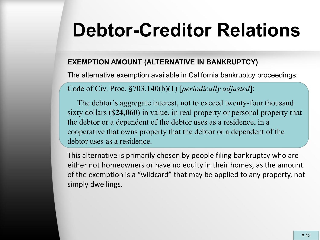#### **EXEMPTION AMOUNT (ALTERNATIVE IN BANKRUPTCY)**

The alternative exemption available in California bankruptcy proceedings:

Code of Civ. Proc. §703.140(b)(1) [*periodically adjusted*]:

The debtor's aggregate interest, not to exceed twenty-four thousand sixty dollars (\$**24,060**) in value, in real property or personal property that the debtor or a dependent of the debtor uses as a residence, in a cooperative that owns property that the debtor or a dependent of the debtor uses as a residence.

This alternative is primarily chosen by people filing bankruptcy who are either not homeowners or have no equity in their homes, as the amount of the exemption is a "wildcard" that may be applied to any property, not simply dwellings.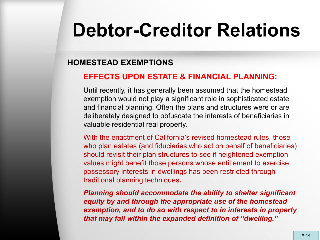#### **HOMESTEAD EXEMPTIONS**

#### **EFFECTS UPON ESTATE & FINANCIAL PLANNING:**

Until recently, it has generally been assumed that the homestead exemption would not play a significant role in sophisticated estate and financial planning. Often the plans and structures were or are deliberately designed to obfuscate the interests of beneficiaries in valuable residential real property.

With the enactment of California's revised homestead rules, those who plan estates (and fiduciaries who act on behalf of beneficiaries) should revisit their plan structures to see if heightened exemption values might benefit those persons whose entitlement to exercise possessory interests in dwellings has been restricted through traditional planning techniques**.**

*Planning should accommodate the ability to shelter significant equity by and through the appropriate use of the homestead exemption, and to do so with respect to in interests in property that may fall within the expanded definition of "dwelling."*